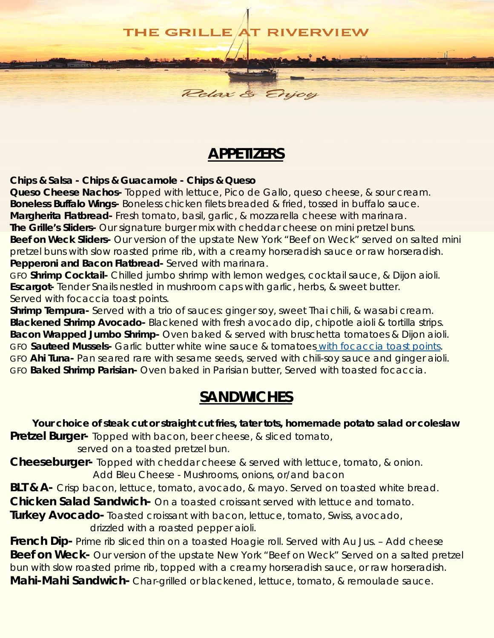

Relax &

### *APPETIZERS*

**Chips & Salsa - Chips & Guacamole - Chips & Queso**

**Queso Cheese Nachos-** Topped with lettuce, Pico de Gallo, queso cheese, & sour cream. **Boneless Buffalo Wings-** Boneless chicken filets breaded & fried, tossed in buffalo sauce. **Margherita Flatbread-** Fresh tomato, basil, garlic, & mozzarella cheese with marinara. **The Grille's Sliders-** Our signature burger mix with cheddar cheese on mini pretzel buns. **Beef on Weck Sliders-** Our version of the upstate New York "Beef on Weck" served on salted mini pretzel buns with slow roasted prime rib, with a creamy horseradish sauce or raw horseradish. **Pepperoni and Bacon Flatbread-** Served with marinara.

GFO **Shrimp Cocktail-** Chilled jumbo shrimp with lemon wedges, cocktail sauce, & Dijon aioli. **Escargot-** Tender Snails nestled in mushroom caps with garlic, herbs, & sweet butter. Served with focaccia toast points.

**Shrimp Tempura-** Served with a trio of sauces: ginger soy, sweet Thai chili, & wasabi cream. **Blackened Shrimp Avocado-** Blackened with fresh avocado dip, chipotle aioli & tortilla strips. **Bacon Wrapped Jumbo Shrimp-** Oven baked & served with bruschetta tomatoes & Dijon aioli. GFO **Sauteed Mussels-** Garlic butter white wine sauce & tomatoes with focaccia toast points. GFO **Ahi Tuna-** Pan seared rare with sesame seeds, served with chili-soy sauce and ginger aioli. GFO **Baked Shrimp Parisian-** Oven baked in Parisian butter, Served with toasted focaccia.

## *SANDWICHES*

**Your choice of steak cut or straight cut fries, tater tots, homemade potato salad or coleslaw Pretzel Burger-** Topped with bacon, beer cheese, & sliced tomato,

served on a toasted pretzel bun. **Cheeseburger-** Topped with cheddar cheese & served with lettuce, tomato, & onion.

Add Bleu Cheese - Mushrooms, onions, or/and bacon

**BLT & A-** Crisp bacon, lettuce, tomato, avocado, & mayo. Served on toasted white bread.

**Chicken Salad Sandwich-** On a toasted croissant served with lettuce and tomato.

**Turkey Avocado-** Toasted croissant with bacon, lettuce, tomato, Swiss, avocado,

drizzled with a roasted pepper aioli.

**French Dip-** Prime rib sliced thin on a toasted Hoagie roll. Served with Au Jus. - Add cheese **Beef on Weck-** Our version of the upstate New York "Beef on Weck" Served on a salted pretzel bun with slow roasted prime rib, topped with a creamy horseradish sauce, or raw horseradish. **Mahi-Mahi Sandwich-** Char-grilled or blackened, lettuce, tomato, & remoulade sauce.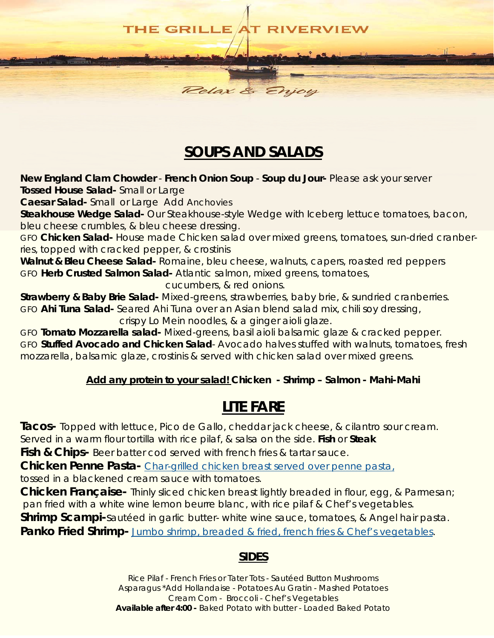#### **THE GRILLE T RIVERVIEW**

# *SOUPS AND SALADS*

**New England Clam Chowder** - **French Onion Soup** - **Soup du Jour-** Please ask your server **Tossed House Salad-** Small or Large

Relax & E.

**Caesar Salad-** Small or Large Add Anchovies

**Steakhouse Wedge Salad-** Our Steakhouse-style Wedge with Iceberg lettuce tomatoes, bacon, bleu cheese crumbles, & bleu cheese dressing.

GFO **Chicken Salad-** House made Chicken salad over mixed greens, tomatoes, sun-dried cranberries, topped with cracked pepper, & crostinis

**Walnut & Bleu Cheese Salad-** Romaine, bleu cheese, walnuts, capers, roasted red peppers GFO **Herb Crusted Salmon Salad-** Atlantic salmon, mixed greens, tomatoes,

cucumbers, & red onions.

**Strawberry & Baby Brie Salad-** Mixed-greens, strawberries, baby brie, & sundried cranberries. GFO **Ahi Tuna Salad-** Seared Ahi Tuna over an Asian blend salad mix, chili soy dressing, crispy Lo Mein noodles, & a ginger aioli glaze.

GFO **Tomato Mozzarella salad-** Mixed-greens, basil aioli balsamic glaze & cracked pepper. GFO **Stuffed Avocado and Chicken Salad**- Avocado halves stuffed with walnuts, tomatoes, fresh mozzarella, balsamic glaze, crostinis & served with chicken salad over mixed greens.

#### **Add any protein to your salad! Chicken - Shrimp – Salmon - Mahi-Mahi**

## *LITE FARE*

**Tacos-** Topped with lettuce, Pico de Gallo, cheddar jack cheese, & cilantro sour cream. Served in a warm flour tortilla with rice pilaf, & salsa on the side. **Fish** or **Steak**

**Fish & Chips-** Beer batter cod served with french fries & tartar sauce.

**Chicken Penne Pasta-** Char-grilled chicken breast served over penne pasta, tossed in a blackened cream sauce with tomatoes.

**Chicken Française-** Thinly sliced chicken breast lightly breaded in flour, egg, & Parmesan; pan fried with a white wine lemon beurre blanc, with rice pilaf & Chef's vegetables.

**Shrimp Scampi-**sautéed in garlic butter- white wine sauce, tomatoes, & Angel hair pasta.

**Panko Fried Shrimp-** Jumbo shrimp, breaded & fried, french fries & Chef's vegetables.

### **SIDES**

Rice Pilaf - French Fries or Tater Tots - Sautéed Button Mushrooms Asparagus \*Add Hollandaise - Potatoes Au Gratin - Mashed Potatoes Cream Corn - Broccoli - Chef's Vegetables **Available after 4:00 -** Baked Potato with butter - Loaded Baked Potato